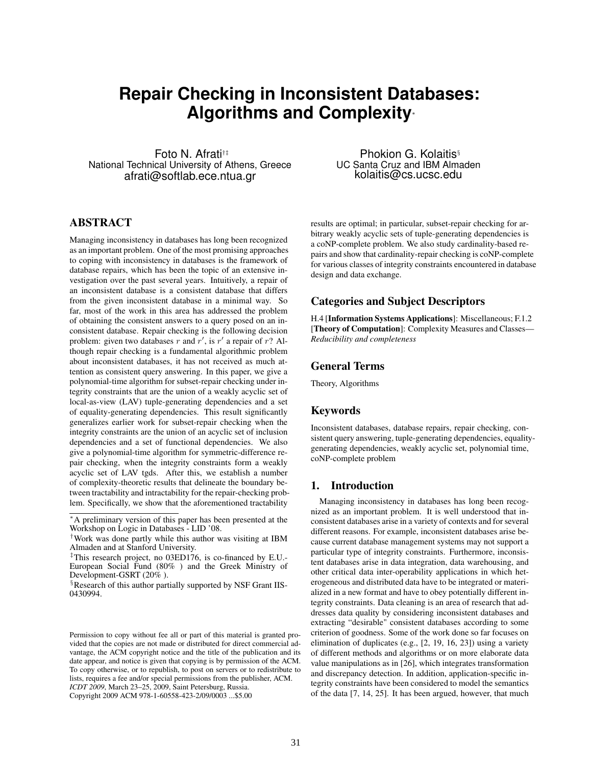# **Repair Checking in Inconsistent Databases: Algorithms and Complexity**<sup>∗</sup>

Foto N. Afrati†‡ National Technical University of Athens, Greece afrati@softlab.ece.ntua.gr

Phokion G. Kolaitis§ UC Santa Cruz and IBM Almaden kolaitis@cs.ucsc.edu

# ABSTRACT

Managing inconsistency in databases has long been recognized as an important problem. One of the most promising approaches to coping with inconsistency in databases is the framework of database repairs, which has been the topic of an extensive investigation over the past several years. Intuitively, a repair of an inconsistent database is a consistent database that differs from the given inconsistent database in a minimal way. So far, most of the work in this area has addressed the problem of obtaining the consistent answers to a query posed on an inconsistent database. Repair checking is the following decision problem: given two databases r and r', is r' a repair of r? Although repair checking is a fundamental algorithmic problem about inconsistent databases, it has not received as much attention as consistent query answering. In this paper, we give a polynomial-time algorithm for subset-repair checking under integrity constraints that are the union of a weakly acyclic set of local-as-view (LAV) tuple-generating dependencies and a set of equality-generating dependencies. This result significantly generalizes earlier work for subset-repair checking when the integrity constraints are the union of an acyclic set of inclusion dependencies and a set of functional dependencies. We also give a polynomial-time algorithm for symmetric-difference repair checking, when the integrity constraints form a weakly acyclic set of LAV tgds. After this, we establish a number of complexity-theoretic results that delineate the boundary between tractability and intractability for the repair-checking problem. Specifically, we show that the aforementioned tractability

Permission to copy without fee all or part of this material is granted provided that the copies are not made or distributed for direct commercial advantage, the ACM copyright notice and the title of the publication and its date appear, and notice is given that copying is by permission of the ACM. To copy otherwise, or to republish, to post on servers or to redistribute to lists, requires a fee and/or special permissions from the publisher, ACM. *ICDT 2009*, March 23–25, 2009, Saint Petersburg, Russia. Copyright 2009 ACM 978-1-60558-423-2/09/0003 ...\$5.00

results are optimal; in particular, subset-repair checking for arbitrary weakly acyclic sets of tuple-generating dependencies is a coNP-complete problem. We also study cardinality-based repairs and show that cardinality-repair checking is coNP-complete for various classes of integrity constraints encountered in database design and data exchange.

## Categories and Subject Descriptors

H.4 [Information Systems Applications]: Miscellaneous; F.1.2 [Theory of Computation]: Complexity Measures and Classes— *Reducibility and completeness*

# General Terms

Theory, Algorithms

## Keywords

Inconsistent databases, database repairs, repair checking, consistent query answering, tuple-generating dependencies, equalitygenerating dependencies, weakly acyclic set, polynomial time, coNP-complete problem

## 1. Introduction

Managing inconsistency in databases has long been recognized as an important problem. It is well understood that inconsistent databases arise in a variety of contexts and for several different reasons. For example, inconsistent databases arise because current database management systems may not support a particular type of integrity constraints. Furthermore, inconsistent databases arise in data integration, data warehousing, and other critical data inter-operability applications in which heterogeneous and distributed data have to be integrated or materialized in a new format and have to obey potentially different integrity constraints. Data cleaning is an area of research that addresses data quality by considering inconsistent databases and extracting "desirable" consistent databases according to some criterion of goodness. Some of the work done so far focuses on elimination of duplicates (e.g., [2, 19, 16, 23]) using a variety of different methods and algorithms or on more elaborate data value manipulations as in [26], which integrates transformation and discrepancy detection. In addition, application-specific integrity constraints have been considered to model the semantics of the data [7, 14, 25]. It has been argued, however, that much

<sup>∗</sup>A preliminary version of this paper has been presented at the Workshop on Logic in Databases - LID '08.

<sup>†</sup>Work was done partly while this author was visiting at IBM Almaden and at Stanford University.

<sup>‡</sup>This research project, no 03ED176, is co-financed by E.U.- European Social Fund (80% ) and the Greek Ministry of Development-GSRT (20% ).

<sup>§</sup>Research of this author partially supported by NSF Grant IIS-0430994.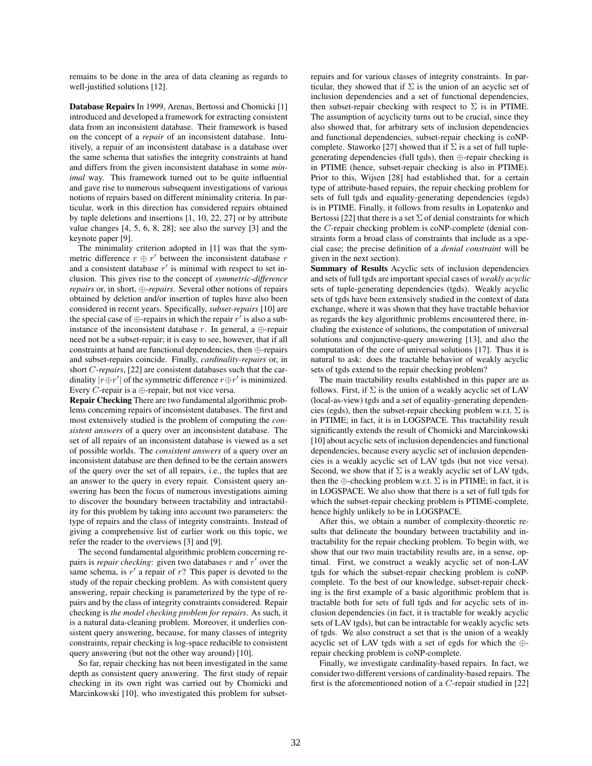remains to be done in the area of data cleaning as regards to well-justified solutions [12].

Database Repairs In 1999, Arenas, Bertossi and Chomicki [1] introduced and developed a framework for extracting consistent data from an inconsistent database. Their framework is based on the concept of a *repair* of an inconsistent database. Intuitively, a repair of an inconsistent database is a database over the same schema that satisfies the integrity constraints at hand and differs from the given inconsistent database in some *minimal* way. This framework turned out to be quite influential and gave rise to numerous subsequent investigations of various notions of repairs based on different minimality criteria. In particular, work in this direction has considered repairs obtained by tuple deletions and insertions [1, 10, 22, 27] or by attribute value changes [4, 5, 6, 8, 28]; see also the survey [3] and the keynote paper [9].

The minimality criterion adopted in [1] was that the symmetric difference  $r \oplus r'$  between the inconsistent database  $r$ and a consistent database  $r'$  is minimal with respect to set inclusion. This gives rise to the concept of *symmetric-difference repairs* or, in short, ⊕-*repairs*. Several other notions of repairs obtained by deletion and/or insertion of tuples have also been considered in recent years. Specifically, *subset-repairs* [10] are the special case of  $\oplus$ -repairs in which the repair  $r'$  is also a subinstance of the inconsistent database r. In general, a  $\oplus$ -repair need not be a subset-repair; it is easy to see, however, that if all constraints at hand are functional dependencies, then ⊕-repairs and subset-repairs coincide. Finally, *cardinality-repairs* or, in short C-*repairs*, [22] are consistent databases such that the cardinality  $|r \oplus r'|$  of the symmetric difference  $r \oplus r'$  is minimized. Every  $C$ -repair is a  $\oplus$ -repair, but not vice versa.

Repair Checking There are two fundamental algorithmic problems concerning repairs of inconsistent databases. The first and most extensively studied is the problem of computing the *consistent answers* of a query over an inconsistent database. The set of all repairs of an inconsistent database is viewed as a set of possible worlds. The *consistent answers* of a query over an inconsistent database are then defined to be the certain answers of the query over the set of all repairs, i.e., the tuples that are an answer to the query in every repair. Consistent query answering has been the focus of numerous investigations aiming to discover the boundary between tractability and intractability for this problem by taking into account two parameters: the type of repairs and the class of integrity constraints. Instead of giving a comprehensive list of earlier work on this topic, we refer the reader to the overviews [3] and [9].

The second fundamental algorithmic problem concerning repairs is *repair checking*: given two databases  $r$  and  $r'$  over the same schema, is  $r'$  a repair of  $r$ ? This paper is devoted to the study of the repair checking problem. As with consistent query answering, repair checking is parameterized by the type of repairs and by the class of integrity constraints considered. Repair checking is *the model checking problem for repairs*. As such, it is a natural data-cleaning problem. Moreover, it underlies consistent query answering, because, for many classes of integrity constraints, repair checking is log-space reducible to consistent query answering (but not the other way around) [10].

So far, repair checking has not been investigated in the same depth as consistent query answering. The first study of repair checking in its own right was carried out by Chomicki and Marcinkowski [10], who investigated this problem for subsetrepairs and for various classes of integrity constraints. In particular, they showed that if  $\Sigma$  is the union of an acyclic set of inclusion dependencies and a set of functional dependencies, then subset-repair checking with respect to  $\Sigma$  is in PTIME. The assumption of acyclicity turns out to be crucial, since they also showed that, for arbitrary sets of inclusion dependencies and functional dependencies, subset-repair checking is coNPcomplete. Staworko [27] showed that if  $\Sigma$  is a set of full tuplegenerating dependencies (full tgds), then ⊕-repair checking is in PTIME (hence, subset-repair checking is also in PTIME). Prior to this, Wijsen [28] had established that, for a certain type of attribute-based repairs, the repair checking problem for sets of full tgds and equality-generating dependencies (egds) is in PTIME. Finally, it follows from results in Lopatenko and Bertossi [22] that there is a set  $\Sigma$  of denial constraints for which the C-repair checking problem is coNP-complete (denial constraints form a broad class of constraints that include as a special case; the precise definition of a *denial constraint* will be given in the next section).

Summary of Results Acyclic sets of inclusion dependencies and sets of full tgds are important special cases of *weakly acyclic* sets of tuple-generating dependencies (tgds). Weakly acyclic sets of tgds have been extensively studied in the context of data exchange, where it was shown that they have tractable behavior as regards the key algorithmic problems encountered there, including the existence of solutions, the computation of universal solutions and conjunctive-query answering [13], and also the computation of the core of universal solutions [17]. Thus it is natural to ask: does the tractable behavior of weakly acyclic sets of tgds extend to the repair checking problem?

The main tractability results established in this paper are as follows. First, if  $\Sigma$  is the union of a weakly acyclic set of LAV (local-as-view) tgds and a set of equality-generating dependencies (egds), then the subset-repair checking problem w.r.t.  $\Sigma$  is in PTIME; in fact, it is in LOGSPACE. This tractability result significantly extends the result of Chomicki and Marcinkowski [10] about acyclic sets of inclusion dependencies and functional dependencies, because every acyclic set of inclusion dependencies is a weakly acyclic set of LAV tgds (but not vice versa). Second, we show that if  $\Sigma$  is a weakly acyclic set of LAV tgds, then the  $\oplus$ -checking problem w.r.t.  $\Sigma$  is in PTIME; in fact, it is in LOGSPACE. We also show that there is a set of full tgds for which the subset-repair checking problem is PTIME-complete, hence highly unlikely to be in LOGSPACE.

After this, we obtain a number of complexity-theoretic results that delineate the boundary between tractability and intractability for the repair checking problem. To begin with, we show that our two main tractability results are, in a sense, optimal. First, we construct a weakly acyclic set of non-LAV tgds for which the subset-repair checking problem is coNPcomplete. To the best of our knowledge, subset-repair checking is the first example of a basic algorithmic problem that is tractable both for sets of full tgds and for acyclic sets of inclusion dependencies (in fact, it is tractable for weakly acyclic sets of LAV tgds), but can be intractable for weakly acyclic sets of tgds. We also construct a set that is the union of a weakly acyclic set of LAV tgds with a set of egds for which the ⊕ repair checking problem is coNP-complete.

Finally, we investigate cardinality-based repairs. In fact, we consider two different versions of cardinality-based repairs. The first is the aforementioned notion of a C-repair studied in [22]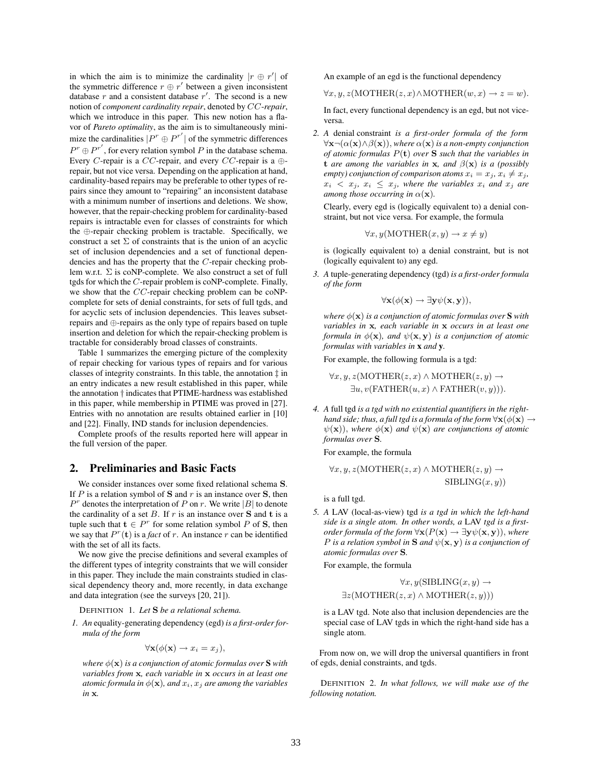in which the aim is to minimize the cardinality  $|r \oplus r'|$  of the symmetric difference  $r \oplus r'$  between a given inconsistent database  $r$  and a consistent database  $r'$ . The second is a new notion of *component cardinality repair*, denoted by CC-*repair*, which we introduce in this paper. This new notion has a flavor of *Pareto optimality*, as the aim is to simultaneously minimize the cardinalities  $|P^r \oplus P^{r'}|$  of the symmetric differences  $P^r \oplus P^{r'}$ , for every relation symbol P in the database schema. Every C-repair is a CC-repair, and every CC-repair is a  $\oplus$ repair, but not vice versa. Depending on the application at hand, cardinality-based repairs may be preferable to other types of repairs since they amount to "repairing" an inconsistent database with a minimum number of insertions and deletions. We show, however, that the repair-checking problem for cardinality-based repairs is intractable even for classes of constraints for which the ⊕-repair checking problem is tractable. Specifically, we construct a set  $\Sigma$  of constraints that is the union of an acyclic set of inclusion dependencies and a set of functional dependencies and has the property that the C-repair checking problem w.r.t. Σ is coNP-complete. We also construct a set of full tgds for which the C-repair problem is coNP-complete. Finally, we show that the CC-repair checking problem can be coNPcomplete for sets of denial constraints, for sets of full tgds, and for acyclic sets of inclusion dependencies. This leaves subsetrepairs and ⊕-repairs as the only type of repairs based on tuple insertion and deletion for which the repair-checking problem is tractable for considerably broad classes of constraints.

Table 1 summarizes the emerging picture of the complexity of repair checking for various types of repairs and for various classes of integrity constraints. In this table, the annotation ‡ in an entry indicates a new result established in this paper, while the annotation † indicates that PTIME-hardness was established in this paper, while membership in PTIME was proved in [27]. Entries with no annotation are results obtained earlier in [10] and [22]. Finally, IND stands for inclusion dependencies.

Complete proofs of the results reported here will appear in the full version of the paper.

### 2. Preliminaries and Basic Facts

We consider instances over some fixed relational schema S. If  $P$  is a relation symbol of  $S$  and  $r$  is an instance over  $S$ , then  $P<sup>r</sup>$  denotes the interpretation of P on r. We write |B| to denote the cardinality of a set  $B$ . If  $r$  is an instance over  $S$  and  $t$  is a tuple such that  $\mathbf{t} \in P^r$  for some relation symbol P of S, then we say that  $P^r(\mathbf{t})$  is a *fact* of r. An instance r can be identified with the set of all its facts.

We now give the precise definitions and several examples of the different types of integrity constraints that we will consider in this paper. They include the main constraints studied in classical dependency theory and, more recently, in data exchange and data integration (see the surveys [20, 21]).

DEFINITION 1. *Let* S *be a relational schema.*

*1. An* equality-generating dependency (egd) *is a first-order formula of the form*

$$
\forall \mathbf{x} (\phi(\mathbf{x}) \to x_i = x_j),
$$

*where*  $\phi(\mathbf{x})$  *is a conjunction of atomic formulas over* **S** *with variables from* x*, each variable in* x *occurs in at least one atomic formula in*  $\phi(\mathbf{x})$ *, and*  $x_i$ *,*  $x_j$  *are among the variables in* x*.*

An example of an egd is the functional dependency

$$
\forall x, y, z(\text{MOTHER}(z, x) \land \text{MOTHER}(w, x) \to z = w).
$$

In fact, every functional dependency is an egd, but not viceversa.

*2. A* denial constraint *is a first-order formula of the form* ∀x¬(α(x)∧β(x)), *where* α(x) *is a non-empty conjunction of atomic formulas* P(t) *over* S *such that the variables in* **t** are among the variables in **x**, and  $\beta(\mathbf{x})$  is a (possibly *empty) conjunction of comparison atoms*  $x_i = x_j, x_i \neq x_j$ ,  $x_i < x_j$ ,  $x_i \leq x_j$ , where the variables  $x_i$  and  $x_j$  are *among those occurring in*  $\alpha(\mathbf{x})$ *.* 

Clearly, every egd is (logically equivalent to) a denial constraint, but not vice versa. For example, the formula

$$
\forall x, y (MOTHER(x, y) \rightarrow x \neq y)
$$

is (logically equivalent to) a denial constraint, but is not (logically equivalent to) any egd.

*3. A* tuple-generating dependency (tgd) *is a first-order formula of the form*

$$
\forall \mathbf{x}(\phi(\mathbf{x}) \to \exists \mathbf{y} \psi(\mathbf{x}, \mathbf{y})),
$$

*where*  $\phi(\mathbf{x})$  *is a conjunction of atomic formulas over* **S** *with variables in* x*, each variable in* x *occurs in at least one formula in*  $\phi(\mathbf{x})$ *, and*  $\psi(\mathbf{x}, \mathbf{y})$  *is a conjunction of atomic formulas with variables in* x *and* y*.*

For example, the following formula is a tgd:

 $\forall x, y, z(\text{MOTHER}(z, x) \land \text{MOTHER}(z, y) \rightarrow$  $\exists u, v(\text{FATHER}(u, x) \wedge \text{FATHER}(v, y))).$ 

*4. A* full tgd *is a tgd with no existential quantifiers in the righthand side; thus, a full tgd is a formula of the form*  $\forall$ **x**( $\phi$ (**x**)  $\rightarrow$  $\psi(\mathbf{x})$ , where  $\phi(\mathbf{x})$  and  $\psi(\mathbf{x})$  are conjunctions of atomic *formulas over* S*.*

For example, the formula

$$
\forall x, y, z(\text{MOTHER}(z, x) \land \text{MOTHER}(z, y) \rightarrow \text{SIBLING}(x, y))
$$

is a full tgd.

*5. A* LAV (local-as-view) tgd *is a tgd in which the left-hand side is a single atom. In other words, a* LAV *tgd is a firstorder formula of the form*  $\forall$ **x**( $P$ (**x**)  $\rightarrow \exists$ **y** $\psi$ (**x**, **y**)), *where P* is a relation symbol in **S** and  $\psi(\mathbf{x}, \mathbf{y})$  is a conjunction of *atomic formulas over* S*.*

For example, the formula

$$
\forall x, y(\text{SIBLING}(x, y) \to
$$
  

$$
\exists z(\text{MOTHER}(z, x) \land \text{MOTHER}(z, y)))
$$

is a LAV tgd. Note also that inclusion dependencies are the special case of LAV tgds in which the right-hand side has a single atom.

From now on, we will drop the universal quantifiers in front of egds, denial constraints, and tgds.

DEFINITION 2. *In what follows, we will make use of the following notation.*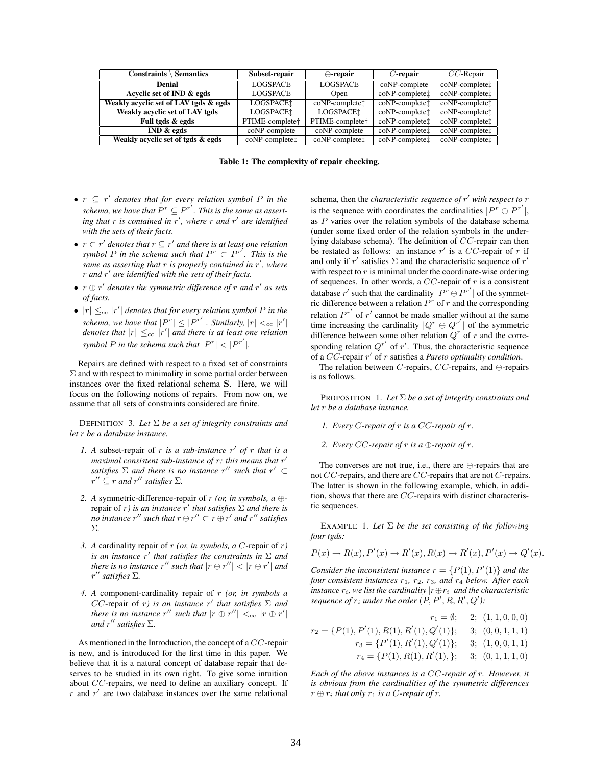| Constraints $\setminus$<br><b>Semantics</b> | Subset-repair               | $\bigoplus$ -repair         | $C$ -repair                            | $CC$ -Repair                          |
|---------------------------------------------|-----------------------------|-----------------------------|----------------------------------------|---------------------------------------|
| Denial                                      | <b>LOGSPACE</b>             | <b>LOGSPACE</b>             | coNP-complete                          | $coNP$ -complete $\uparrow$           |
| Acyclic set of IND & egds                   | <b>LOGSPACE</b>             | Open                        | coNP-complete <sup>+</sup>             | $coNP$ -complete $\uparrow$           |
| Weakly acyclic set of LAV tgds & egds       | LOGSPACE <sup>1</sup>       | coNP-complete <sup>+</sup>  | coNP-complete <sup>+</sup>             | coNP-complete <sup>+</sup>            |
| Weakly acyclic set of LAV tgds              | <b>LOGSPACE:</b>            | LOGSPACE!                   | coNP-complete <sup>+</sup>             | coNP-complete <sup>+</sup>            |
| Full tgds & egds                            | PTIME-complete <sup>+</sup> | PTIME-complete <sup>+</sup> | coNP-complete <sup>+</sup>             | coNP-complete <sup>+</sup>            |
| IND & edges                                 | coNP-complete               | coNP-complete               | $\overline{coNP}$ -complete $\ddagger$ | $\overline{coNP$ -complete $\uparrow$ |
| Weakly acyclic set of tgds & egds           | coNP-complete <sup>+</sup>  | coNP-completet              | coNP-complete <sup>+</sup>             | coNP-complete <sup>+</sup>            |

Table 1: The complexity of repair checking.

- $r ⊆ r'$  *denotes that for every relation symbol* P *in the* schema, we have that  $P^r \subseteq P^{r'}$ . This is the same as asserting that r is contained in r', where r and r' are identified *with the sets of their facts.*
- $r \subset r'$  denotes that  $r \subseteq r'$  and there is at least one relation *symbol*  $P$  *in the schema such that*  $P^r \subset P^{r'}$ *. This is the same as asserting that* r *is properly contained in* r', where r *and* r 0 *are identified with the sets of their facts.*
- $r \oplus r'$  denotes the symmetric difference of r and r' as sets *of facts.*
- $|r| \leq_{cc} |r'|$  denotes that for every relation symbol P in the *schema, we have that*  $|P^r| \leq |P^{r'}|$ *. Similarly,*  $|r| <_{cc} |r'|$ *denotes that*  $|r| \leq_{cc} |r'|$  *and there is at least one relation symbol P* in the schema such that  $|P^r| < |P^{r'}|$ .

Repairs are defined with respect to a fixed set of constraints  $\Sigma$  and with respect to minimality in some partial order between instances over the fixed relational schema S. Here, we will focus on the following notions of repairs. From now on, we assume that all sets of constraints considered are finite.

DEFINITION 3. *Let* Σ *be a set of integrity constraints and let* r *be a database instance.*

- 1. A subset-repair of  $r$  *is a sub-instance*  $r'$  *of*  $r$  *that is a maximal consistent sub-instance of* r*; this means that* r 0 *satisfies*  $\Sigma$  *and there is no instance*  $r''$  *such that*  $r' \subset$  $r'' \subseteq r$  *and*  $r''$  *satisfies*  $\Sigma$ *.*
- *2. A* symmetric-difference-repair of r *(or, in symbols, a* ⊕ *f* repair of r) is an instance r' that satisfies  $\Sigma$  and there is *no* instance  $r''$  such that  $r \oplus r'' \subset r \oplus r'$  and  $r''$  satisfies Σ*.*
- *3. A* cardinality repair of r *(or, in symbols, a* C-repair of r*) is an instance*  $r'$  that satisfies the constraints in  $\Sigma$  and *there is no instance*  $r''$  *such that*  $|r \oplus r''| < |r \oplus r'|$  *and* r <sup>00</sup> *satisfies* Σ*.*
- *4. A* component-cardinality repair of r *(or, in symbols a*  $CC$ -repair of r) is an instance r' that satisfies  $\Sigma$  and *there is no instance*  $r''$  *such that*  $|r \oplus r''| <_{cc} |r \oplus r'|$ *and*  $r''$  *satisfies*  $\Sigma$ *.*

As mentioned in the Introduction, the concept of a CC-repair is new, and is introduced for the first time in this paper. We believe that it is a natural concept of database repair that deserves to be studied in its own right. To give some intuition about CC-repairs, we need to define an auxiliary concept. If  $r$  and  $r'$  are two database instances over the same relational

schema, then the *characteristic sequence of* r' with respect to r is the sequence with coordinates the cardinalities  $|P^r \oplus P^{r'}|$ , as  $P$  varies over the relation symbols of the database schema (under some fixed order of the relation symbols in the underlying database schema). The definition of CC-repair can then be restated as follows: an instance  $r'$  is a CC-repair of r if and only if r' satisfies  $\Sigma$  and the characteristic sequence of r' with respect to  $r$  is minimal under the coordinate-wise ordering of sequences. In other words, a  $CC$ -repair of  $r$  is a consistent database r' such that the cardinality  $|P^r \oplus P^{r'}|$  of the symmetric difference between a relation  $P<sup>r</sup>$  of r and the corresponding relation  $P^{r'}$  of r' cannot be made smaller without at the same time increasing the cardinality  $|Q^r \oplus Q^{r'}|$  of the symmetric difference between some other relation  $Q<sup>r</sup>$  of r and the corresponding relation  $Q^{r'}$  of r'. Thus, the characteristic sequence of a CC-repair r' of r satisfies a *Pareto optimality condition*.

The relation between C-repairs, CC-repairs, and  $\oplus$ -repairs is as follows.

PROPOSITION 1. *Let* Σ *be a set of integrity constraints and let* r *be a database instance.*

- *1. Every* C*-repair of* r *is a* CC*-repair of* r*.*
- *2. Every* CC*-repair of* r *is a* ⊕*-repair of* r*.*

The converses are not true, i.e., there are ⊕-repairs that are not CC-repairs, and there are CC-repairs that are not C-repairs. The latter is shown in the following example, which, in addition, shows that there are CC-repairs with distinct characteristic sequences.

EXAMPLE 1. Let  $\Sigma$  be the set consisting of the following *four tgds:*

$$
P(x) \to R(x), P'(x) \to R'(x), R(x) \to R'(x), P'(x) \to Q'(x).
$$

*Consider the inconsistent instance*  $r = \{P(1), P'(1)\}$  *and the four consistent instances* r1*,* r2*,* r3*, and* r<sup>4</sup> *below. After each instance*  $r_i$ *, we list the cardinality*  $|r \oplus r_i|$  *and the characteristic* sequence of  $r_i$  under the order  $(P, P', R, R', Q')$ :

$$
r_1 = \emptyset; \quad 2; \ (1, 1, 0, 0, 0)
$$

$$
r_2 = \{P(1), P'(1), R(1), R'(1), Q'(1)\}; \quad 3; \ (0, 0, 1, 1, 1)
$$

$$
r_3 = \{P'(1), R'(1), Q'(1)\}; \quad 3; \ (1, 0, 0, 1, 1)
$$

$$
r_4 = \{P(1), R(1), R'(1), \}; \quad 3; \ (0, 1, 1, 1, 0)
$$

*Each of the above instances is a* CC*-repair of* r*. However, it is obvious from the cardinalities of the symmetric differences*  $r \oplus r_i$  *that only*  $r_1$  *is a C-repair of r.*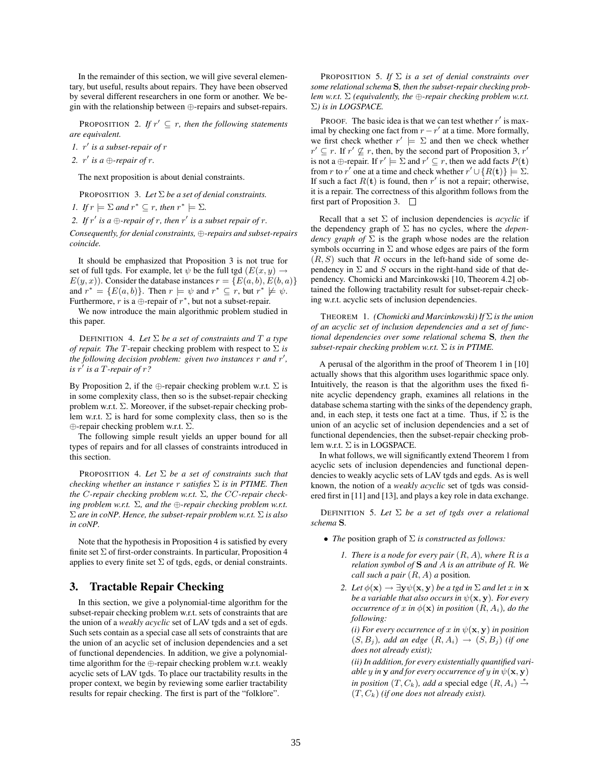In the remainder of this section, we will give several elementary, but useful, results about repairs. They have been observed by several different researchers in one form or another. We begin with the relationship between ⊕-repairs and subset-repairs.

**PROPOSITION** 2. If  $r' \subseteq r$ , then the following statements *are equivalent.*

*1.* r 0 *is a subset-repair of* r

2.  $r'$  is a  $\bigoplus$ *-repair of r*.

The next proposition is about denial constraints.

PROPOSITION 3. *Let* Σ *be a set of denial constraints.*

*1. If*  $r \models \Sigma$  *and*  $r^* \subseteq r$ *, then*  $r^* \models \Sigma$ *.* 

2. If  $r'$  is a  $\bigoplus$ -repair of r, then  $r'$  is a subset repair of r.

*Consequently, for denial constraints,* ⊕*-repairs and subset-repairs coincide.*

It should be emphasized that Proposition 3 is not true for set of full tgds. For example, let  $\psi$  be the full tgd  $(E(x, y) \rightarrow$  $E(y, x)$ . Consider the database instances  $r = \{E(a, b), E(b, a)\}\;$ and  $r^* = \{E(a, b)\}\$ . Then  $r \models \psi$  and  $r^* \subseteq r$ , but  $r^* \not\models \psi$ . Furthermore, r is a  $\bigoplus$ -repair of  $r^*$ , but not a subset-repair.

We now introduce the main algorithmic problem studied in this paper.

DEFINITION 4. Let  $\Sigma$  *be a set of constraints and*  $T$  *a type of repair. The* T-repair checking problem with respect to Σ *is* the following decision problem: given two instances r and r', *is* r 0 *is a* T*-repair of* r*?*

By Proposition 2, if the  $\oplus$ -repair checking problem w.r.t.  $\Sigma$  is in some complexity class, then so is the subset-repair checking problem w.r.t.  $\Sigma$ . Moreover, if the subset-repair checking problem w.r.t.  $\Sigma$  is hard for some complexity class, then so is the ⊕-repair checking problem w.r.t. Σ.

The following simple result yields an upper bound for all types of repairs and for all classes of constraints introduced in this section.

PROPOSITION 4. *Let* Σ *be a set of constraints such that checking whether an instance* r *satisfies* Σ *is in PTIME. Then the* C*-repair checking problem w.r.t.* Σ*, the* CC*-repair checking problem w.r.t.* Σ*, and the* ⊕*-repair checking problem w.r.t.* Σ *are in coNP. Hence, the subset-repair problem w.r.t.* Σ *is also in coNP.*

Note that the hypothesis in Proposition 4 is satisfied by every finite set  $\Sigma$  of first-order constraints. In particular, Proposition 4 applies to every finite set  $\Sigma$  of tgds, egds, or denial constraints.

### 3. Tractable Repair Checking

In this section, we give a polynomial-time algorithm for the subset-repair checking problem w.r.t. sets of constraints that are the union of a *weakly acyclic* set of LAV tgds and a set of egds. Such sets contain as a special case all sets of constraints that are the union of an acyclic set of inclusion dependencies and a set of functional dependencies. In addition, we give a polynomialtime algorithm for the ⊕-repair checking problem w.r.t. weakly acyclic sets of LAV tgds. To place our tractability results in the proper context, we begin by reviewing some earlier tractability results for repair checking. The first is part of the "folklore".

PROPOSITION 5. *If* Σ *is a set of denial constraints over some relational schema* S*, then the subset-repair checking problem w.r.t.* Σ *(equivalently, the* ⊕*-repair checking problem w.r.t.* Σ*) is in LOGSPACE.*

PROOF. The basic idea is that we can test whether  $r'$  is maximal by checking one fact from  $r - r'$  at a time. More formally, we first check whether  $r' \models \Sigma$  and then we check whether  $r' \subseteq r$ . If  $r' \nsubseteq r$ , then, by the second part of Proposition 3, r' is not a  $\bigoplus$ -repair. If  $r' \models \Sigma$  and  $r' \subseteq r$ , then we add facts  $P(\mathbf{t})$ from r to r' one at a time and check whether  $r' \cup \{R(t)\} \models \Sigma$ . If such a fact  $R(t)$  is found, then r' is not a repair; otherwise, it is a repair. The correctness of this algorithm follows from the first part of Proposition 3.  $\Box$ 

Recall that a set  $\Sigma$  of inclusion dependencies is *acyclic* if the dependency graph of Σ has no cycles, where the *dependency graph of*  $\Sigma$  is the graph whose nodes are the relation symbols occurring in  $\Sigma$  and whose edges are pairs of the form  $(R, S)$  such that R occurs in the left-hand side of some dependency in  $\Sigma$  and  $S$  occurs in the right-hand side of that dependency. Chomicki and Marcinkowski [10, Theorem 4.2] obtained the following tractability result for subset-repair checking w.r.t. acyclic sets of inclusion dependencies.

THEOREM 1. *(Chomicki and Marcinkowski) If* Σ *is the union of an acyclic set of inclusion dependencies and a set of functional dependencies over some relational schema* S*, then the subset-repair checking problem w.r.t.* Σ *is in PTIME.*

A perusal of the algorithm in the proof of Theorem 1 in [10] actually shows that this algorithm uses logarithmic space only. Intuitively, the reason is that the algorithm uses the fixed finite acyclic dependency graph, examines all relations in the database schema starting with the sinks of the dependency graph, and, in each step, it tests one fact at a time. Thus, if  $\Sigma$  is the union of an acyclic set of inclusion dependencies and a set of functional dependencies, then the subset-repair checking problem w.r.t.  $\Sigma$  is in LOGSPACE.

In what follows, we will significantly extend Theorem 1 from acyclic sets of inclusion dependencies and functional dependencies to weakly acyclic sets of LAV tgds and egds. As is well known, the notion of a *weakly acyclic* set of tgds was considered first in [11] and [13], and plays a key role in data exchange.

DEFINITION 5. *Let* Σ *be a set of tgds over a relational schema* S*.*

- *The* position graph of Σ *is constructed as follows:*
	- *1. There is a node for every pair* (R, A)*, where* R *is a relation symbol of* S *and* A *is an attribute of* R*. We call such a pair* (R, A) *a* position*.*
	- 2. Let  $\phi(\mathbf{x}) \to \exists \mathbf{y} \psi(\mathbf{x}, \mathbf{y})$  *be a tgd in*  $\Sigma$  *and let* x *in* **x** *be a variable that also occurs in*  $\psi(\mathbf{x}, \mathbf{y})$ *. For every occurrence of* x in  $\phi(\mathbf{x})$  in position  $(R, A_i)$ , do the *following:*

*(i) For every occurrence of* x *in*  $\psi(\mathbf{x}, \mathbf{y})$  *in position*  $(S, B_i)$ *, add an edge*  $(R, A_i) \rightarrow (S, B_j)$  *(if one*) *does not already exist);*

*(ii) In addition, for every existentially quantified variable* y *in* **y** *and for every occurrence of* y *in*  $\psi(\mathbf{x}, \mathbf{y})$ *in position*  $(T, C_k)$ , add a special edge  $(R, A_i) \stackrel{*}{\rightarrow}$  $(T, C_k)$  *(if one does not already exist).*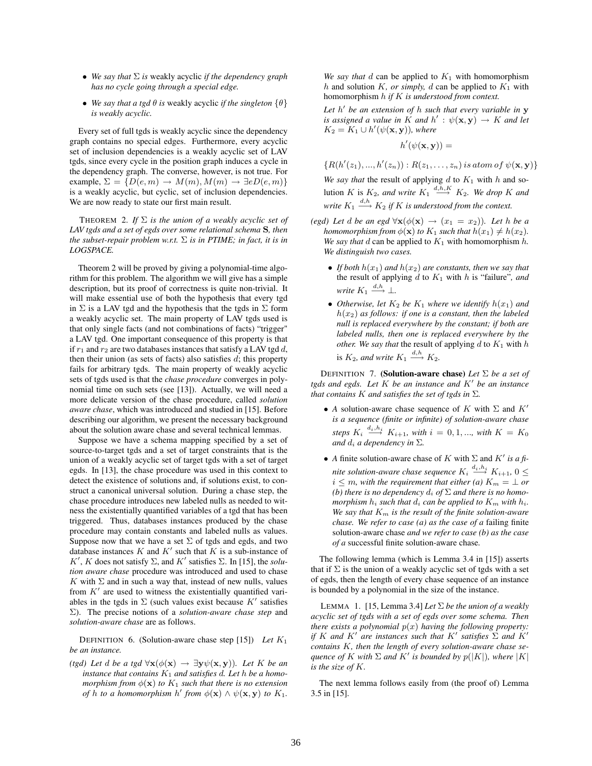- *We say that* Σ *is* weakly acyclic *if the dependency graph has no cycle going through a special edge.*
- *We say that a tgd*  $\theta$  *is* weakly acyclic *if the singleton*  $\{\theta\}$ *is weakly acyclic.*

Every set of full tgds is weakly acyclic since the dependency graph contains no special edges. Furthermore, every acyclic set of inclusion dependencies is a weakly acyclic set of LAV tgds, since every cycle in the position graph induces a cycle in the dependency graph. The converse, however, is not true. For example,  $\Sigma = \{D(e, m) \rightarrow M(m), M(m) \rightarrow \exists e D(e, m)\}$ is a weakly acyclic, but cyclic, set of inclusion dependencies. We are now ready to state our first main result.

THEOREM 2. *If* Σ *is the union of a weakly acyclic set of LAV tgds and a set of egds over some relational schema* S*, then the subset-repair problem w.r.t.* Σ *is in PTIME; in fact, it is in LOGSPACE.*

Theorem 2 will be proved by giving a polynomial-time algorithm for this problem. The algorithm we will give has a simple description, but its proof of correctness is quite non-trivial. It will make essential use of both the hypothesis that every tgd in  $\Sigma$  is a LAV tgd and the hypothesis that the tgds in  $\Sigma$  form a weakly acyclic set. The main property of LAV tgds used is that only single facts (and not combinations of facts) "trigger" a LAV tgd. One important consequence of this property is that if  $r_1$  and  $r_2$  are two databases instances that satisfy a LAV tgd d, then their union (as sets of facts) also satisfies  $d$ ; this property fails for arbitrary tgds. The main property of weakly acyclic sets of tgds used is that the *chase procedure* converges in polynomial time on such sets (see [13]). Actually, we will need a more delicate version of the chase procedure, called *solution aware chase*, which was introduced and studied in [15]. Before describing our algorithm, we present the necessary background about the solution aware chase and several technical lemmas.

Suppose we have a schema mapping specified by a set of source-to-target tgds and a set of target constraints that is the union of a weakly acyclic set of target tgds with a set of target egds. In [13], the chase procedure was used in this context to detect the existence of solutions and, if solutions exist, to construct a canonical universal solution. During a chase step, the chase procedure introduces new labeled nulls as needed to witness the existentially quantified variables of a tgd that has been triggered. Thus, databases instances produced by the chase procedure may contain constants and labeled nulls as values. Suppose now that we have a set  $\Sigma$  of tgds and egds, and two database instances K and K' such that K is a sub-instance of K', K does not satisfy  $\Sigma$ , and K' satisfies  $\Sigma$ . In [15], the *solution aware chase* procedure was introduced and used to chase K with  $\Sigma$  and in such a way that, instead of new nulls, values from  $K'$  are used to witness the existentially quantified variables in the tgds in  $\Sigma$  (such values exist because  $K'$  satisfies Σ). The precise notions of a *solution-aware chase step* and *solution-aware chase* are as follows.

DEFINITION 6. (Solution-aware chase step [15]) *Let* K<sup>1</sup> *be an instance.*

*(tgd)* Let *d be a tgd*  $\forall$ **x**( $\phi$ (**x**)  $\rightarrow \exists$ **y** $\psi$ (**x**,**y**))*. Let K be an instance that contains*  $K_1$  *and satisfies d. Let*  $h$  *be a homomorphism from*  $\phi(\mathbf{x})$  *to*  $K_1$  *such that there is no extension of* h *to a homomorphism* h' from  $\phi(\mathbf{x}) \wedge \psi(\mathbf{x}, \mathbf{y})$  *to*  $K_1$ .

*We say that*  $d$  can be applied to  $K_1$  with homomorphism h and solution K, or simply, d can be applied to  $K_1$  with homomorphism h *if* K *is understood from context.*

*Let* h 0 *be an extension of* h *such that every variable in* y *is assigned a value in* K *and*  $h'$  :  $\psi(\mathbf{x}, \mathbf{y}) \to K$  *and let*  $K_2 = K_1 \cup h'(\psi(\mathbf{x}, \mathbf{y}))$ *, where* 

$$
h'(\psi(\mathbf{x}, \mathbf{y})) =
$$

 $\{R(h'(z_1),...,h'(z_n)): R(z_1,...,z_n)$  is atom of  $\psi(\mathbf{x}, \mathbf{y})\}$ 

We say that the result of applying  $d$  to  $K_1$  with  $h$  and solution K is  $K_2$ , and write  $K_1 \stackrel{d,h,K}{\longrightarrow} K_2$ . We drop K and write  $K_1 \stackrel{d,h}{\longrightarrow} K_2$  if  $K$  is understood from the context.

- *(egd)* Let *d* be an egd  $\forall$ **x**( $\phi$ (**x**)  $\rightarrow$  ( $x_1 = x_2$ ))*.* Let *h* be a *homomorphism from*  $\phi(\mathbf{x})$  *to*  $K_1$  *such that*  $h(x_1) \neq h(x_2)$ *. We say that*  $d$  can be applied to  $K_1$  with homomorphism  $h$ . *We distinguish two cases.*
	- *If both*  $h(x_1)$  *and*  $h(x_2)$  *are constants, then we say that* the result of applying  $d$  to  $K_1$  with  $h$  is "failure", and *write*  $K_1 \stackrel{d,h}{\longrightarrow} \perp$ .
	- *Otherwise, let*  $K_2$  *be*  $K_1$  *where we identify*  $h(x_1)$  *and*  $h(x_2)$  *as follows: if one is a constant, then the labeled null is replaced everywhere by the constant; if both are labeled nulls, then one is replaced everywhere by the other. We say that* the result of applying  $d$  to  $K_1$  with  $h$ is  $K_2$ , and write  $K_1 \stackrel{d,h}{\longrightarrow} K_2$ .

DEFINITION 7. (Solution-aware chase) *Let* Σ *be a set of tgds and egds. Let K be an instance and K' be an instance that contains*  $K$  *and satisfies the set of tgds in*  $\Sigma$ *.* 

- *A* solution-aware chase sequence of K with  $\Sigma$  and K' *is a sequence (finite or infinite) of solution-aware chase steps*  $K_i \stackrel{d_i, h_i}{\longrightarrow} K_{i+1}$ *, with*  $i = 0, 1, ...,$  with  $K = K_0$ *and*  $d_i$  *a dependency in*  $\Sigma$ *.*
- *A* finite solution-aware chase of K with  $\Sigma$  and K' is a finite solution-aware chase sequence  $K_i \stackrel{d_i,h_i}{\longrightarrow} K_{i+1}$ ,  $0 \leq$  $i \leq m$ , with the requirement that either (a)  $K_m = \perp or$ *(b) there is no dependency*  $d_i$  *of*  $\Sigma$  *and there is no homomorphism*  $h_i$  *such that*  $d_i$  *can be applied to*  $K_m$  *with*  $h_i$ *.* We say that  $K_m$  is the result of the finite solution-aware *chase. We refer to case (a) as the case of a* failing finite solution-aware chase *and we refer to case (b) as the case of a* successful finite solution-aware chase*.*

The following lemma (which is Lemma 3.4 in [15]) asserts that if  $\Sigma$  is the union of a weakly acyclic set of tgds with a set of egds, then the length of every chase sequence of an instance is bounded by a polynomial in the size of the instance.

LEMMA 1. [15, Lemma 3.4] *Let* Σ *be the union of a weakly acyclic set of tgds with a set of egds over some schema. Then there exists a polynomial*  $p(x)$  *having the following property: if* K and K' are instances such that K' satisfies  $\Sigma$  and K' *contains* K*, then the length of every solution-aware chase sequence of* K with  $\Sigma$  *and* K' *is bounded by*  $p(|K|)$ *, where* |K| *is the size of* K*.*

The next lemma follows easily from (the proof of) Lemma 3.5 in [15].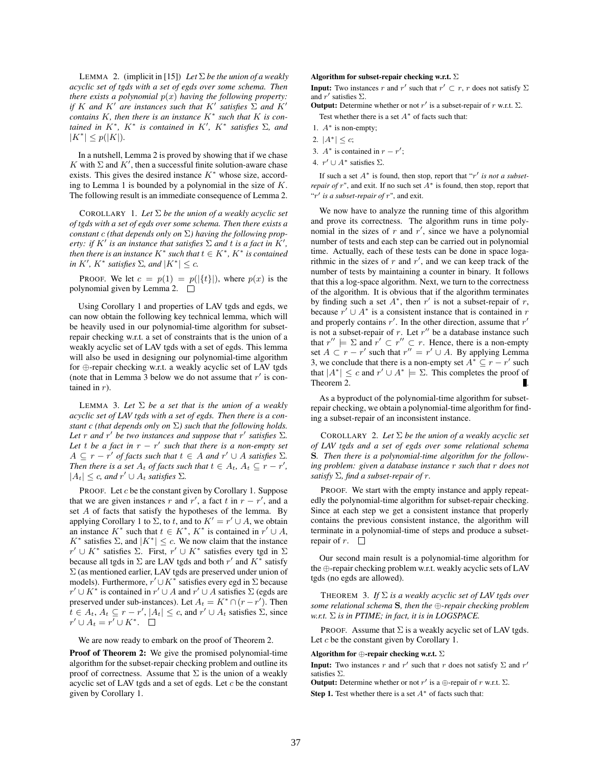LEMMA 2. (implicit in [15]) Let  $\Sigma$  be the union of a weakly *acyclic set of tgds with a set of egds over some schema. Then there exists a polynomial*  $p(x)$  *having the following property: if* K and K' are instances such that K' satisfies  $\Sigma$  and K' *contains* K*, then there is an instance* K<sup>∗</sup> *such that* K *is contained in*  $K^*$ *,*  $K^*$  *is contained in*  $K'$ *,*  $K^*$  *satisfies*  $\Sigma$ *, and*  $|K^*| \leq p(|K|)$ .

In a nutshell, Lemma 2 is proved by showing that if we chase K with  $\Sigma$  and  $K'$ , then a successful finite solution-aware chase exists. This gives the desired instance  $K^*$  whose size, according to Lemma 1 is bounded by a polynomial in the size of  $K$ . The following result is an immediate consequence of Lemma 2.

COROLLARY 1. *Let* Σ *be the union of a weakly acyclic set of tgds with a set of egds over some schema. Then there exists a constant* c *(that depends only on* Σ*) having the following property: if*  $K'$  *is an instance that satisfies*  $\Sigma$  *and t is a fact in*  $K'$ *, then there is an instance*  $K^*$  *such that*  $t \in K^*$ *,*  $K^*$  *is contained in*  $K'$ ,  $K^*$  *satisfies*  $\Sigma$ *, and*  $|K^*| \leq c$ *.* 

PROOF. We let  $c = p(1) = p(|\{t\}|)$ , where  $p(x)$  is the polynomial given by Lemma 2.  $\square$ 

Using Corollary 1 and properties of LAV tgds and egds, we can now obtain the following key technical lemma, which will be heavily used in our polynomial-time algorithm for subsetrepair checking w.r.t. a set of constraints that is the union of a weakly acyclic set of LAV tgds with a set of egds. This lemma will also be used in designing our polynomial-time algorithm for ⊕-repair checking w.r.t. a weakly acyclic set of LAV tgds (note that in Lemma 3 below we do not assume that  $r'$  is contained in  $r$ ).

LEMMA 3. Let  $\Sigma$  be a set that is the union of a weakly *acyclic set of LAV tgds with a set of egds. Then there is a constant c (that depends only on* Σ*) such that the following holds.* Let r and r' be two instances and suppose that r' satisfies  $\Sigma$ . Let t be a fact in  $r - r'$  such that there is a non-empty set  $A \subseteq r - r'$  of facts such that  $t \in A$  and  $r' \cup A$  satisfies  $\Sigma$ . *Then there is a set*  $A_t$  *of facts such that*  $t \in A_t$ *,*  $A_t \subseteq r - r'$ *,*  $|A_t| \leq c$ , and  $r' \cup A_t$  *satisfies*  $\Sigma$ *.* 

PROOF. Let  $c$  be the constant given by Corollary 1. Suppose that we are given instances r and r', a fact t in  $r - r'$ , and a set A of facts that satisfy the hypotheses of the lemma. By applying Corollary 1 to  $\Sigma$ , to t, and to  $K' = r' \cup A$ , we obtain an instance  $K^*$  such that  $t \in K^*$ ,  $K^*$  is contained in  $r' \cup A$ ,  $K^*$  satisfies  $\Sigma$ , and  $|K^*| \leq c$ . We now claim that the instance  $r' \cup K^*$  satisfies  $\Sigma$ . First,  $r' \cup K^*$  satisfies every tgd in  $\Sigma$ because all tgds in  $\Sigma$  are LAV tgds and both r' and  $K^*$  satisfy  $\Sigma$  (as mentioned earlier, LAV tgds are preserved under union of models). Furthermore,  $r' \cup K^*$  satisfies every egd in  $\Sigma$  because  $r' \cup K^*$  is contained in  $r' \cup A$  and  $r' \cup A$  satisfies  $\Sigma$  (egds are preserved under sub-instances). Let  $A_t = K^* \cap (r - r')$ . Then  $\tilde{t} \in A_t, A_t \subseteq r - r', |A_t| \leq c$ , and  $r' \cup A_t$  satisfies  $\Sigma$ , since  $r' \cup A_t = r' \cup K^*$ .

We are now ready to embark on the proof of Theorem 2.

Proof of Theorem 2: We give the promised polynomial-time algorithm for the subset-repair checking problem and outline its proof of correctness. Assume that  $\Sigma$  is the union of a weakly acyclic set of LAV tgds and a set of egds. Let  $c$  be the constant given by Corollary 1.

#### Algorithm for subset-repair checking w.r.t.  $\Sigma$

**Input:** Two instances r and r' such that  $r' \subset r$ , r does not satisfy  $\Sigma$ and  $r'$  satisfies  $\Sigma$ .

**Output:** Determine whether or not  $r'$  is a subset-repair of r w.r.t.  $\Sigma$ .

Test whether there is a set  $A^*$  of facts such that:

- 1.  $A^*$  is non-empty;
- 2.  $|A^*| \leq c$ ;
- 3.  $A^*$  is contained in  $r r'$ ;
- 4.  $r' \cup A^*$  satisfies  $\Sigma$ .

If such a set  $A^*$  is found, then stop, report that " $r'$  is not a subset*repair of*  $r$ ", and exit. If no such set  $A^*$  is found, then stop, report that "r' is a subset-repair of r", and exit.

We now have to analyze the running time of this algorithm and prove its correctness. The algorithm runs in time polynomial in the sizes of  $r$  and  $r'$ , since we have a polynomial number of tests and each step can be carried out in polynomial time. Actually, each of these tests can be done in space logarithmic in the sizes of  $r$  and  $r'$ , and we can keep track of the number of tests by maintaining a counter in binary. It follows that this a log-space algorithm. Next, we turn to the correctness of the algorithm. It is obvious that if the algorithm terminates by finding such a set  $A^*$ , then r' is not a subset-repair of r, because  $r' \cup A^*$  is a consistent instance that is contained in r and properly contains  $r'$ . In the other direction, assume that  $r'$ is not a subset-repair of r. Let  $r''$  be a database instance such that  $r'' \models \Sigma$  and  $r' \subset r'' \subset r$ . Hence, there is a non-empty set  $A \subset r - r'$  such that  $r'' = r' \cup A$ . By applying Lemma 3, we conclude that there is a non-empty set  $A^* \subseteq r - r'$  such that  $|A^*| \leq c$  and  $r' \cup A^* \models \Sigma$ . This completes the proof of Theorem 2. .

As a byproduct of the polynomial-time algorithm for subsetrepair checking, we obtain a polynomial-time algorithm for finding a subset-repair of an inconsistent instance.

COROLLARY 2. *Let* Σ *be the union of a weakly acyclic set of LAV tgds and a set of egds over some relational schema* S*. Then there is a polynomial-time algorithm for the following problem: given a database instance* r *such that* r *does not satisfy* Σ*, find a subset-repair of* r*.*

PROOF. We start with the empty instance and apply repeatedly the polynomial-time algorithm for subset-repair checking. Since at each step we get a consistent instance that properly contains the previous consistent instance, the algorithm will terminate in a polynomial-time of steps and produce a subsetrepair of  $r$ .  $\Box$ 

Our second main result is a polynomial-time algorithm for the ⊕-repair checking problem w.r.t. weakly acyclic sets of LAV tgds (no egds are allowed).

THEOREM 3. *If* Σ *is a weakly acyclic set of LAV tgds over some relational schema* S*, then the* ⊕*-repair checking problem w.r.t.* Σ *is in PTIME; in fact, it is in LOGSPACE.*

PROOF. Assume that  $\Sigma$  is a weakly acyclic set of LAV tgds. Let c be the constant given by Corollary 1.

### Algorithm for  $\bigoplus$ -repair checking w.r.t.  $\Sigma$

**Input:** Two instances r and r' such that r does not satisfy  $\Sigma$  and r' satisfies Σ.

**Output:** Determine whether or not r' is a  $\oplus$ -repair of r w.r.t.  $\Sigma$ . Step 1. Test whether there is a set  $A^*$  of facts such that: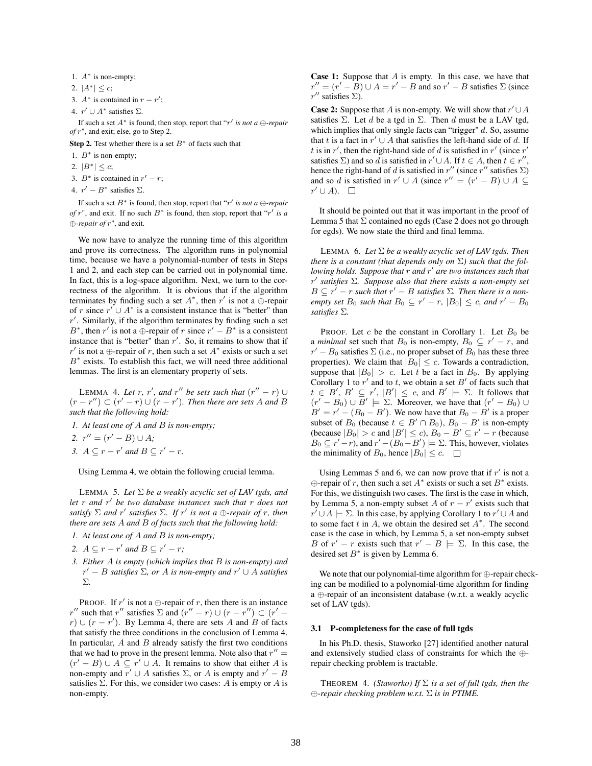- 1.  $A^*$  is non-empty;
- 2.  $|A^*| \leq c$ ;
- 3.  $A^*$  is contained in  $r r'$ ;
- 4.  $r' \cup A^*$  satisfies  $\Sigma$ .

If such a set  $A^*$  is found, then stop, report that " $r'$  is not a  $\oplus$ *-repair of* r", and exit; else, go to Step 2.

Step 2. Test whether there is a set  $B^*$  of facts such that

- 1.  $B^*$  is non-empty;
- 2.  $|B^*| \leq c$ ;
- 3.  $B^*$  is contained in  $r' r$ ;
- 4.  $r' B^*$  satisfies  $\Sigma$ .

If such a set  $B^*$  is found, then stop, report that "r' is not a  $\bigoplus$ -repair *of*  $r$ ", and exit. If no such  $B^*$  is found, then stop, report that " $r'$  is a ⊕*-repair of* r", and exit.

We now have to analyze the running time of this algorithm and prove its correctness. The algorithm runs in polynomial time, because we have a polynomial-number of tests in Steps 1 and 2, and each step can be carried out in polynomial time. In fact, this is a log-space algorithm. Next, we turn to the correctness of the algorithm. It is obvious that if the algorithm terminates by finding such a set  $A^*$ , then r' is not a  $\oplus$ -repair of r since  $r' \cup A^*$  is a consistent instance that is "better" than  $r'$ . Similarly, if the algorithm terminates by finding such a set  $B^*$ , then r' is not a  $\bigoplus$ -repair of r since  $r' - B^*$  is a consistent instance that is "better" than  $r'$ . So, it remains to show that if r' is not a ⊕-repair of r, then such a set  $A^*$  exists or such a set  $B^*$  exists. To establish this fact, we will need three additional lemmas. The first is an elementary property of sets.

LEMMA 4. Let r, r', and r'' be sets such that  $(r'' - r) \cup$  $(r - r'')$  ⊂  $(r' - r)$  ∪  $(r - r')$ . Then there are sets A and B *such that the following hold:*

*1. At least one of* A *and* B *is non-empty;*

2.  $r'' = (r' - B) \cup A$ ;

*3.*  $A \subseteq r - r'$  and  $B \subseteq r' - r$ .

Using Lemma 4, we obtain the following crucial lemma.

LEMMA 5. *Let* Σ *be a weakly acyclic set of LAV tgds, and let* r *and* r 0 *be two database instances such that* r *does not*  $satisfy \sum$  *and*  $r'$  *satisfies*  $\Sigma$ *. If*  $r'$  *is not a*  $\bigoplus$ *-repair of*  $r$ *, then there are sets* A *and* B *of facts such that the following hold:*

- *1. At least one of* A *and* B *is non-empty;*
- 2.  $A \subseteq r r'$  and  $B \subseteq r' r$ ;
- *3. Either* A *is empty (which implies that* B *is non-empty) and*  $r' - B$  *satisfies*  $\Sigma$ , or A is non-empty and  $r' \cup A$  *satisfies* Σ*.*

PROOF. If r' is not a  $\bigoplus$ -repair of r, then there is an instance r'' such that r'' satisfies  $\Sigma$  and  $(r'' - r) \cup (r - r'') \subset (r' - r')$  $r$ ) ∪ ( $r - r'$ ). By Lemma 4, there are sets A and B of facts that satisfy the three conditions in the conclusion of Lemma 4. In particular,  $A$  and  $B$  already satisfy the first two conditions that we had to prove in the present lemma. Note also that  $r'' =$  $(r'-B) \cup A \subseteq r' \cup A$ . It remains to show that either A is non-empty and  $r' \cup A$  satisfies  $\Sigma$ , or A is empty and  $r' - B$ satisfies  $\Sigma$ . For this, we consider two cases: A is empty or A is non-empty.

**Case 1:** Suppose that  $A$  is empty. In this case, we have that  $r'' = (r' - B) \cup A = r' - B$  and so  $r' - B$  satisfies  $\Sigma$  (since  $r''$  satisfies  $\Sigma$ ).

**Case 2:** Suppose that A is non-empty. We will show that  $r' \cup A$ satisfies  $\Sigma$ . Let d be a tgd in  $\Sigma$ . Then d must be a LAV tgd, which implies that only single facts can "trigger"  $d$ . So, assume that t is a fact in  $r' \cup A$  that satisfies the left-hand side of d. If t is in r', then the right-hand side of d is satisfied in r' (since r' satisfies  $\Sigma$ ) and so d is satisfied in  $r' \cup A$ . If  $t \in A$ , then  $t \in r''$ , hence the right-hand of d is satisfied in  $r''$  (since  $r''$  satisfies  $\Sigma$ ) and so d is satisfied in  $r' \cup A$  (since  $r'' = (r' - B) \cup A \subseteq$  $r' \cup A$ ).

It should be pointed out that it was important in the proof of Lemma 5 that  $\Sigma$  contained no egds (Case 2 does not go through for egds). We now state the third and final lemma.

LEMMA 6. *Let* Σ *be a weakly acyclic set of LAV tgds. Then there is a constant (that depends only on* Σ*) such that the fol*lowing holds. Suppose that r and r' are two instances such that r 0 *satisfies* Σ*. Suppose also that there exists a non-empty set*  $B \subseteq r' - r$  *such that*  $r' - B$  *satisfies*  $\Sigma$ *. Then there is a nonempty set*  $B_0$  *such that*  $B_0 \subseteq r' - r$ ,  $|B_0| \leq c$ , and  $r' - B_0$ *satisfies* Σ*.*

PROOF. Let c be the constant in Corollary 1. Let  $B_0$  be a *minimal* set such that  $B_0$  is non-empty,  $B_0 \subseteq r' - r$ , and  $r' - B_0$  satisfies  $\Sigma$  (i.e., no proper subset of  $B_0$  has these three properties). We claim that  $|B_0| \leq c$ . Towards a contradiction, suppose that  $|B_0| > c$ . Let t be a fact in  $B_0$ . By applying Corollary 1 to  $r'$  and to t, we obtain a set  $B'$  of facts such that  $t \in B', B' \subseteq r', |B'| \leq c$ , and  $B' \models \Sigma$ . It follows that  $(r' - B_0) \cup B' \models \Sigma$ . Moreover, we have that  $(r' - B_0) \cup$  $B' = r' - (B_0 - B')$ . We now have that  $B_0 - B'$  is a proper subset of  $B_0$  (because  $t \in B' \cap B_0$ ),  $B_0 - B'$  is non-empty (because  $|B_0| > c$  and  $|B'| \le c$ ),  $B_0 - B' \subseteq r' - r$  (because  $B_0 \subseteq r'-r$ ), and  $r' - (B_0 - B') \models \Sigma$ . This, however, violates the minimality of  $B_0$ , hence  $|B_0| \leq c$ .  $\Box$ 

Using Lemmas 5 and 6, we can now prove that if  $r'$  is not a  $\oplus$ -repair of r, then such a set  $A^*$  exists or such a set  $B^*$  exists. For this, we distinguish two cases. The first is the case in which, by Lemma 5, a non-empty subset A of  $r - r'$  exists such that  $r' \cup A \models \Sigma$ . In this case, by applying Corollary 1 to  $r' \cup A$  and to some fact  $t$  in  $A$ , we obtain the desired set  $A^*$ . The second case is the case in which, by Lemma 5, a set non-empty subset B of  $r' - r$  exists such that  $r' - B \models \Sigma$ . In this case, the desired set  $B^*$  is given by Lemma 6.

We note that our polynomial-time algorithm for ⊕-repair checking can be modified to a polynomial-time algorithm for finding a ⊕-repair of an inconsistent database (w.r.t. a weakly acyclic set of LAV tgds).

#### 3.1 P-completeness for the case of full tgds

In his Ph.D. thesis, Staworko [27] identified another natural and extensively studied class of constraints for which the ⊕ repair checking problem is tractable.

THEOREM 4. *(Staworko) If* Σ *is a set of full tgds, then the* ⊕*-repair checking problem w.r.t.* Σ *is in PTIME.*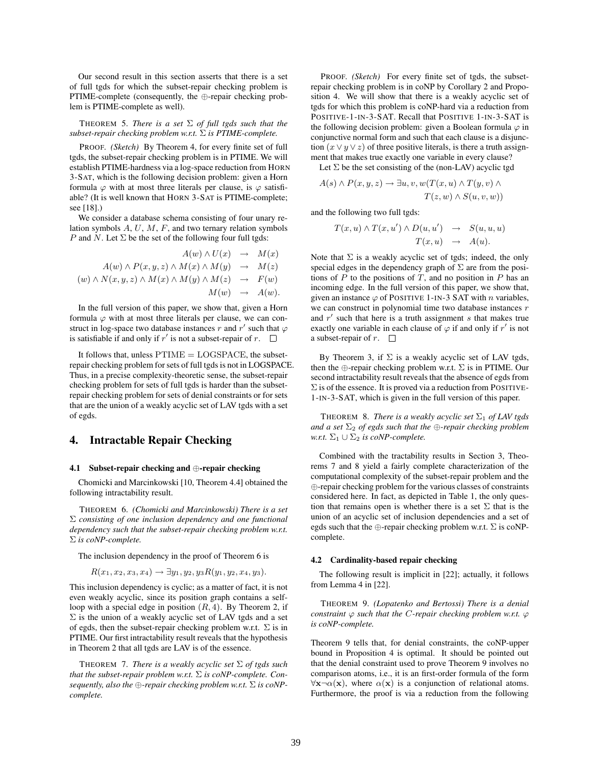Our second result in this section asserts that there is a set of full tgds for which the subset-repair checking problem is PTIME-complete (consequently, the ⊕-repair checking problem is PTIME-complete as well).

THEOREM 5. *There is a set* Σ *of full tgds such that the subset-repair checking problem w.r.t.* Σ *is PTIME-complete.*

PROOF. *(Sketch)* By Theorem 4, for every finite set of full tgds, the subset-repair checking problem is in PTIME. We will establish PTIME-hardness via a log-space reduction from HORN 3-SAT, which is the following decision problem: given a Horn formula  $\varphi$  with at most three literals per clause, is  $\varphi$  satisfiable? (It is well known that HORN 3-SAT is PTIME-complete; see [18].)

We consider a database schema consisting of four unary relation symbols  $A, U, M, F$ , and two ternary relation symbols P and N. Let  $\Sigma$  be the set of the following four full tgds:

$$
A(w) \wedge U(x) \rightarrow M(x)
$$
  
\n
$$
A(w) \wedge P(x, y, z) \wedge M(x) \wedge M(y) \rightarrow M(z)
$$
  
\n
$$
(w) \wedge N(x, y, z) \wedge M(x) \wedge M(y) \wedge M(z) \rightarrow F(w)
$$
  
\n
$$
M(w) \rightarrow A(w).
$$

In the full version of this paper, we show that, given a Horn formula  $\varphi$  with at most three literals per clause, we can construct in log-space two database instances r and r' such that  $\varphi$ is satisfiable if and only if  $r'$  is not a subset-repair of  $r$ .

It follows that, unless  $PTIME = LOGSPACE$ , the subsetrepair checking problem for sets of full tgds is not in LOGSPACE. Thus, in a precise complexity-theoretic sense, the subset-repair checking problem for sets of full tgds is harder than the subsetrepair checking problem for sets of denial constraints or for sets that are the union of a weakly acyclic set of LAV tgds with a set of egds.

### 4. Intractable Repair Checking

### 4.1 Subset-repair checking and ⊕-repair checking

Chomicki and Marcinkowski [10, Theorem 4.4] obtained the following intractability result.

THEOREM 6. *(Chomicki and Marcinkowski) There is a set* Σ *consisting of one inclusion dependency and one functional dependency such that the subset-repair checking problem w.r.t.* Σ *is coNP-complete.*

The inclusion dependency in the proof of Theorem 6 is

$$
R(x_1, x_2, x_3, x_4) \rightarrow \exists y_1, y_2, y_3 R(y_1, y_2, x_4, y_3).
$$

This inclusion dependency is cyclic; as a matter of fact, it is not even weakly acyclic, since its position graph contains a selfloop with a special edge in position  $(R, 4)$ . By Theorem 2, if  $\Sigma$  is the union of a weakly acyclic set of LAV tgds and a set of egds, then the subset-repair checking problem w.r.t.  $\Sigma$  is in PTIME. Our first intractability result reveals that the hypothesis in Theorem 2 that all tgds are LAV is of the essence.

THEOREM 7. *There is a weakly acyclic set* Σ *of tgds such that the subset-repair problem w.r.t.* Σ *is coNP-complete. Consequently, also the* ⊕*-repair checking problem w.r.t.* Σ *is coNPcomplete.*

PROOF. *(Sketch)* For every finite set of tgds, the subsetrepair checking problem is in coNP by Corollary 2 and Proposition 4. We will show that there is a weakly acyclic set of tgds for which this problem is coNP-hard via a reduction from POSITIVE-1-IN-3-SAT. Recall that POSITIVE 1-IN-3-SAT is the following decision problem: given a Boolean formula  $\varphi$  in conjunctive normal form and such that each clause is a disjunction  $(x \vee y \vee z)$  of three positive literals, is there a truth assignment that makes true exactly one variable in every clause?

Let  $\Sigma$  be the set consisting of the (non-LAV) acyclic tgd

$$
A(s) \wedge P(x, y, z) \rightarrow \exists u, v, w(T(x, u) \wedge T(y, v) \wedge T(z, w) \wedge S(u, v, w))
$$

and the following two full tgds:

$$
T(x, u) \wedge T(x, u') \wedge D(u, u') \rightarrow S(u, u, u)
$$
  

$$
T(x, u) \rightarrow A(u).
$$

Note that  $\Sigma$  is a weakly acyclic set of tgds; indeed, the only special edges in the dependency graph of  $\Sigma$  are from the positions of  $P$  to the positions of  $T$ , and no position in  $P$  has an incoming edge. In the full version of this paper, we show that, given an instance  $\varphi$  of POSITIVE 1-IN-3 SAT with *n* variables, we can construct in polynomial time two database instances  $r$ and  $r'$  such that here is a truth assignment s that makes true exactly one variable in each clause of  $\varphi$  if and only if r' is not a subset-repair of r.  $\square$ 

By Theorem 3, if  $\Sigma$  is a weakly acyclic set of LAV tgds, then the  $\oplus$ -repair checking problem w.r.t.  $\Sigma$  is in PTIME. Our second intractability result reveals that the absence of egds from  $\Sigma$  is of the essence. It is proved via a reduction from POSITIVE-1-IN-3-SAT, which is given in the full version of this paper.

THEOREM 8. *There is a weakly acyclic set*  $\Sigma_1$  *of LAV tgds and a set*  $\Sigma_2$  *of egds such that the*  $\bigoplus$ *-repair checking problem w.r.t.*  $\Sigma_1 \cup \Sigma_2$  *is coNP-complete.* 

Combined with the tractability results in Section 3, Theorems 7 and 8 yield a fairly complete characterization of the computational complexity of the subset-repair problem and the ⊕-repair checking problem for the various classes of constraints considered here. In fact, as depicted in Table 1, the only question that remains open is whether there is a set  $\Sigma$  that is the union of an acyclic set of inclusion dependencies and a set of egds such that the  $\oplus$ -repair checking problem w.r.t.  $\Sigma$  is coNPcomplete.

#### 4.2 Cardinality-based repair checking

The following result is implicit in [22]; actually, it follows from Lemma 4 in [22].

THEOREM 9. *(Lopatenko and Bertossi) There is a denial constraint*  $\varphi$  *such that the C-repair checking problem w.r.t.*  $\varphi$ *is coNP-complete.*

Theorem 9 tells that, for denial constraints, the coNP-upper bound in Proposition 4 is optimal. It should be pointed out that the denial constraint used to prove Theorem 9 involves no comparison atoms, i.e., it is an first-order formula of the form  $\forall x \neg \alpha(x)$ , where  $\alpha(x)$  is a conjunction of relational atoms. Furthermore, the proof is via a reduction from the following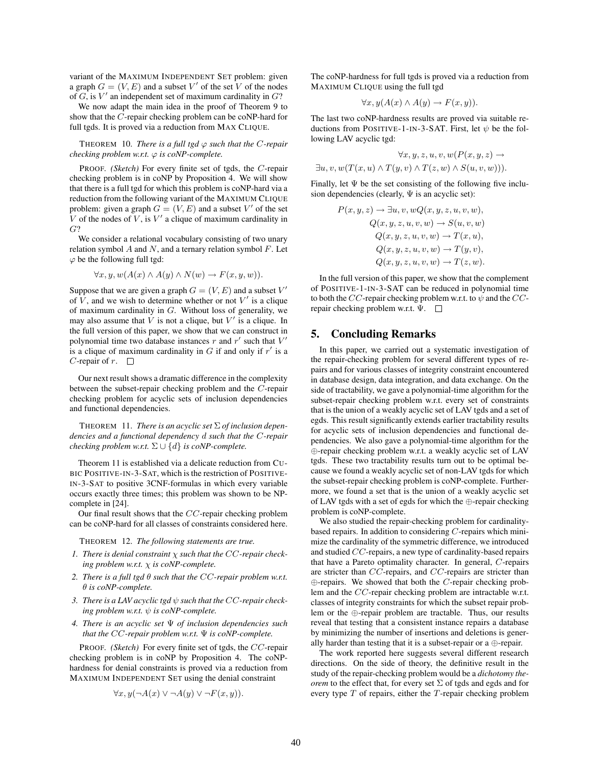variant of the MAXIMUM INDEPENDENT SET problem: given a graph  $G = (V, E)$  and a subset V' of the set V of the nodes of  $G$ , is  $V'$  an independent set of maximum cardinality in  $G$ ?

We now adapt the main idea in the proof of Theorem 9 to show that the C-repair checking problem can be coNP-hard for full tgds. It is proved via a reduction from MAX CLIQUE.

THEOREM 10. *There is a full tgd*  $\varphi$  *such that the C-repair checking problem w.r.t.*  $\varphi$  *is coNP-complete.* 

PROOF. *(Sketch)* For every finite set of tgds, the C-repair checking problem is in coNP by Proposition 4. We will show that there is a full tgd for which this problem is coNP-hard via a reduction from the following variant of the MAXIMUM CLIQUE problem: given a graph  $G = (V, E)$  and a subset V' of the set V of the nodes of  $V$ , is  $V'$  a clique of maximum cardinality in G?

We consider a relational vocabulary consisting of two unary relation symbol  $A$  and  $N$ , and a ternary relation symbol  $F$ . Let  $\varphi$  be the following full tgd:

$$
\forall x, y, w(A(x) \land A(y) \land N(w) \rightarrow F(x, y, w)).
$$

Suppose that we are given a graph  $G = (V, E)$  and a subset  $V'$ of  $\hat{V}$ , and we wish to determine whether or not  $V'$  is a clique of maximum cardinality in G. Without loss of generality, we may also assume that  $V$  is not a clique, but  $V'$  is a clique. In the full version of this paper, we show that we can construct in polynomial time two database instances r and r' such that  $V'$ is a clique of maximum cardinality in  $G$  if and only if  $r'$  is a C-repair of  $r$ .  $\Box$ 

Our next result shows a dramatic difference in the complexity between the subset-repair checking problem and the C-repair checking problem for acyclic sets of inclusion dependencies and functional dependencies.

THEOREM 11. *There is an acyclic set* Σ *of inclusion dependencies and a functional dependency* d *such that the* C*-repair checking problem w.r.t.*  $\Sigma \cup \{d\}$  *is coNP-complete.* 

Theorem 11 is established via a delicate reduction from CU-BIC POSITIVE-IN-3-SAT, which is the restriction of POSITIVE-IN-3-SAT to positive 3CNF-formulas in which every variable occurs exactly three times; this problem was shown to be NPcomplete in [24].

Our final result shows that the CC-repair checking problem can be coNP-hard for all classes of constraints considered here.

THEOREM 12. *The following statements are true.*

- *1. There is denial constraint* χ *such that the* CC*-repair checking problem w.r.t.* χ *is coNP-complete.*
- *2. There is a full tgd* θ *such that the* CC*-repair problem w.r.t.* θ *is coNP-complete.*
- *3. There is a LAV acyclic tgd* ψ *such that the* CC*-repair checking problem w.r.t.* ψ *is coNP-complete.*
- *4. There is an acyclic set* Ψ *of inclusion dependencies such that the* CC*-repair problem w.r.t.* Ψ *is coNP-complete.*

PROOF. *(Sketch)* For every finite set of tgds, the CC-repair checking problem is in coNP by Proposition 4. The coNPhardness for denial constraints is proved via a reduction from MAXIMUM INDEPENDENT SET using the denial constraint

$$
\forall x, y (\neg A(x) \lor \neg A(y) \lor \neg F(x, y)).
$$

The coNP-hardness for full tgds is proved via a reduction from MAXIMUM CLIQUE using the full tgd

$$
\forall x, y (A(x) \land A(y) \to F(x, y)).
$$

The last two coNP-hardness results are proved via suitable reductions from POSITIVE-1-IN-3-SAT. First, let  $\psi$  be the following LAV acyclic tgd:

$$
\forall x, y, z, u, v, w(P(x, y, z) \rightarrow
$$
  

$$
\exists u, v, w(T(x, u) \land T(y, v) \land T(z, w) \land S(u, v, w))).
$$

Finally, let  $\Psi$  be the set consisting of the following five inclusion dependencies (clearly,  $\Psi$  is an acyclic set):

$$
P(x, y, z) \rightarrow \exists u, v, wQ(x, y, z, u, v, w),
$$
  
\n
$$
Q(x, y, z, u, v, w) \rightarrow S(u, v, w)
$$
  
\n
$$
Q(x, y, z, u, v, w) \rightarrow T(x, u),
$$
  
\n
$$
Q(x, y, z, u, v, w) \rightarrow T(y, v),
$$
  
\n
$$
Q(x, y, z, u, v, w) \rightarrow T(z, w).
$$

In the full version of this paper, we show that the complement of POSITIVE-1-IN-3-SAT can be reduced in polynomial time to both the CC-repair checking problem w.r.t. to  $\psi$  and the CCrepair checking problem w.r.t. Ψ.

### 5. Concluding Remarks

In this paper, we carried out a systematic investigation of the repair-checking problem for several different types of repairs and for various classes of integrity constraint encountered in database design, data integration, and data exchange. On the side of tractability, we gave a polynomial-time algorithm for the subset-repair checking problem w.r.t. every set of constraints that is the union of a weakly acyclic set of LAV tgds and a set of egds. This result significantly extends earlier tractability results for acyclic sets of inclusion dependencies and functional dependencies. We also gave a polynomial-time algorithm for the ⊕-repair checking problem w.r.t. a weakly acyclic set of LAV tgds. These two tractability results turn out to be optimal because we found a weakly acyclic set of non-LAV tgds for which the subset-repair checking problem is coNP-complete. Furthermore, we found a set that is the union of a weakly acyclic set of LAV tgds with a set of egds for which the ⊕-repair checking problem is coNP-complete.

We also studied the repair-checking problem for cardinalitybased repairs. In addition to considering  $C$ -repairs which minimize the cardinality of the symmetric difference, we introduced and studied CC-repairs, a new type of cardinality-based repairs that have a Pareto optimality character. In general, C-repairs are stricter than CC-repairs, and CC-repairs are stricter than  $\oplus$ -repairs. We showed that both the *C*-repair checking problem and the CC-repair checking problem are intractable w.r.t. classes of integrity constraints for which the subset repair problem or the ⊕-repair problem are tractable. Thus, our results reveal that testing that a consistent instance repairs a database by minimizing the number of insertions and deletions is generally harder than testing that it is a subset-repair or a ⊕-repair.

The work reported here suggests several different research directions. On the side of theory, the definitive result in the study of the repair-checking problem would be a *dichotomy theorem* to the effect that, for every set  $\Sigma$  of tgds and egds and for every type  $T$  of repairs, either the  $T$ -repair checking problem